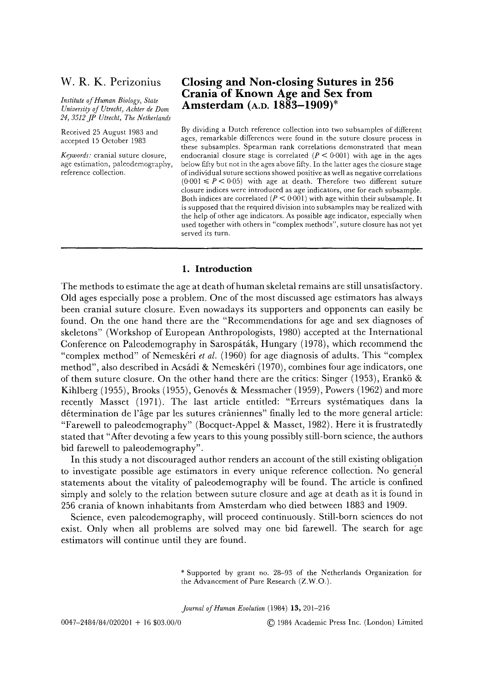# **W. R. K. Perizonius**

*Institute of Human Biology, State University of Utrecht, Achter de Dora 24, 3512 JP Utrecht, The Netherlands* 

Received 25 August 1983 and accepted 15 October 1983

*Keywords:* cranial suture closure, age estimation, paleedemography, reference collection.

# **Closing and Non-closing Sutures in 256 Crania of Known Age and Sex from Amsterdam (A.D. 1883--1909)\***

By dividing a Dutch reference collection into two subsamples of different ages, remarkable differences were found in the suture closure process in these subsamples. Spearman rank correlations demonstrated that mean endocranial closure stage is correlated  $(P \le 0.001)$  with age in the ages below fifty but not in the ages above fifty. In the latter ages the closure stage of individual suture sections showed positive as well as negative correlations  $(0.001 \leq P \leq 0.05)$  with age at death. Therefore two different suture closure indices were introduced as age indicators, one for each subsample. Both indices are correlated ( $P < 0.001$ ) with age within their subsample. It is supposed that the required division into subsamples may be realized with the help of other age indicators. As possible age indicator, especially when used together with others in "complex methods", suture closure has not yet served its turn.

## **1. Introduction**

The methods to estimate the age at death of human skeletal remains are still unsatisfactory. Old ages especially pose a problem. One of the most discussed age estimators has always been cranial suture closure. Even nowadays its supporters and opponents can easily be found. On the one hand there are the "Recommendations for age and sex diagnoses of skeletons" (Workshop of European Anthropologists, 1980) accepted at the International Conference on Paleodemography in Sarospáták, Hungary (1978), which recommend the "complex method" of Nemeskeri *et al.* (1960) for age diagnosis of adults. This "complex method", also described in Acsádi & Nemeskéri (1970), combines four age indicators, one of them suture closure. On the other hand there are the critics: Singer (1953), Erank6 & Kihlberg (1955), Brooks (1955), Genovés & Messmacher (1959), Powers (1962) and more recently Masset (1971). The last article entitled: "Erreurs systématiques dans la détermination de l'âge par les sutures crâniennes" finally led to the more general article: "Farewell to paleodemography" (Bocquet-Appel & Masset, 1982). Here it is frustratedly stated that "After devoting a few years to this young possibly still-born science, the authors bid farewell to paleodemography".

In this study a not discouraged author renders an account of the still existing obligation to investigate possible age estimators in every unique reference collection. No general statements about the vitality of paleodemography will be found. The article is confined simply and solely to the relation between suture closure and age at death as it is found in 256 crania of known inhabitants from Amsterdam who died between 1883 and 1909.

Science, even paleodemography, will proceed continuously. Still-born sciences do not exist. Only when all problems are solved may one bid farewell. The search for age estimators will continue until they are found.

> \* Supported by grant no. 28-93 of the Netherlands Organization for the Advancement of Pure Research (Z.W.O.).

*Journal of Human Evolution* (1984) 13, 201-216

0047-2484/84/020201 + 16 \$03.00/0 (c) 1984 Academic Press Inc. (London) Limited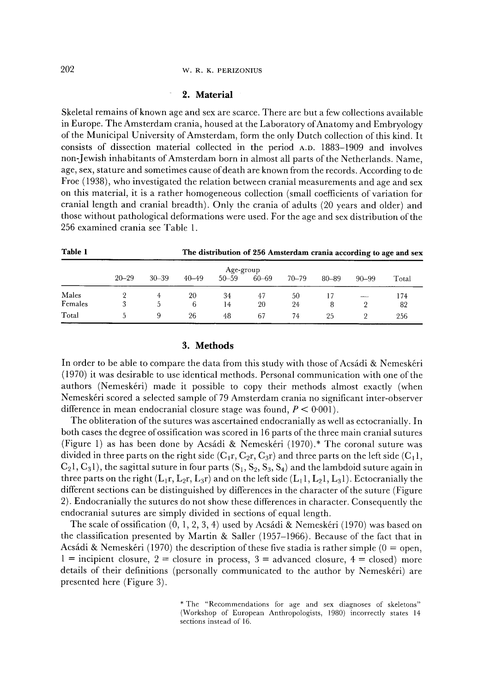### 202 w.R.K. PERIZONIUS

### **2. Material**

Skeletal remains of known age and sex are scarce. There are but a few collections available in Europe. The Amsterdam crania, housed at the Laboratory of Anatomy and Embryology of the Municipal University of Amsterdam, form the only Dutch collection of this kind. It consists of dissection material collected in the period A.D. 1883--1909 and involves non-Jewish inhabitants of Amsterdam born in almost all parts of the Netherlands. Name, age, sex, stature and sometimes cause of death are known from the records. According to de Froe (1938), who investigated the relation between cranial measurements and age and sex on this material, it is a rather homogeneous collection (small coefficients of variation for cranial length and cranial breadth). Only the crania of adults (20 years and older) and those without pathological deformations were used. For the age and sex distribution of the 256 examined crania see Table 1.

| Table 1 |           | The distribution of 256 Amsterdam crania according to age and sex |           |           |           |           |       |                 |       |  |  |
|---------|-----------|-------------------------------------------------------------------|-----------|-----------|-----------|-----------|-------|-----------------|-------|--|--|
|         | $20 - 29$ |                                                                   |           |           | Age-group |           |       |                 |       |  |  |
|         |           | $30 - 39$                                                         | $40 - 49$ | $50 - 59$ | $60 - 69$ | $70 - 79$ | 80-89 | $90 - 99$       | Total |  |  |
| Males   |           |                                                                   | 20        | 34        | 47        | 50        |       | <b>ALCOHOL:</b> | 174   |  |  |
| Females |           | 5.                                                                | 6         | 14        | 20        | 24        | 8     |                 | 82    |  |  |
| Total   |           | 9                                                                 | 26        | 48        | 67        | 74        | 25    |                 | 256   |  |  |

## **3. Methods**

In order to be able to compare the data from this study with those of Acsádi & Nemeskéri (1970) it was desirable to use identical methods. Personal communication with one of the authors (Nemeskéri) made it possible to copy their methods almost exactly (when Nemeskéri scored a selected sample of 79 Amsterdam crania no significant inter-observer difference in mean endocranial closure stage was found,  $P \leq 0.001$ .

The obliteration of the sutures was ascertained endocranially as well as ectocranially. In both cases the degree of ossification was scored in 16 parts of the three main cranial sutures (Figure 1) as has been done by Acsádi & Nemeskéri (1970).\* The coronal suture was divided in three parts on the right side  $(C_1r, C_2r, C_3r)$  and three parts on the left side  $(C_1l,$  $C_2$ ,  $C_3$ ,  $C_3$ ), the sagittal suture in four parts  $(S_1, S_2, S_3, S_4)$  and the lambdoid suture again in three parts on the right  $(L_1r, L_2r, L_3r)$  and on the left side  $(L_1l, L_2l, L_3l)$ . Ectocranially the different sections can be distinguished by differences in the character of the suture (Figure 2). Endocranially the sutures do not show these differences in character. Consequently the endocranial sutures are simply divided in sections of equal length.

The scale of ossification  $(0, 1, 2, 3, 4)$  used by Acsádi & Nemeskéri (1970) was based on the classification presented by Martin & Saller (1957–1966). Because of the fact that in Acsádi & Nemeskéri (1970) the description of these five stadia is rather simple ( $0 =$  open,  $1 =$  incipient closure,  $2 =$  closure in process,  $3 =$  advanced closure,  $4 =$  closed) more details of their definitions (personally communicated to the author by Nemeskeri) are presented here (Figure 3).

<sup>\*</sup> The "Recommendations for age and sex diagnoses of skeletons" (Workshop of European Anthropologists, 1980) incorrectly states 14 sections instead of 16.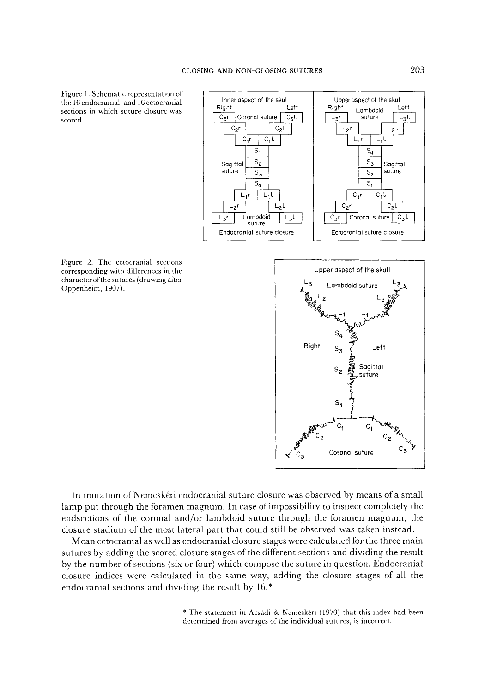Figure 1. Schematic representation of the 16 endocranial, and 16 ectocranial sections in which suture closure was scored.







In imitation of Nemeskfiri endocranial suture closure was observed by means of a small lamp put through the foramen magnum. In case of impossibility to inspect completely the endsections of the coronal and/or lambdoid suture through the foramen magnum, the closure stadium of the most lateral part that could still be observed was taken instead.

Mean ectocranial as well as endocranial closure stages were calculated for the three main sutures by adding the scored closure stages of the different sections and dividing the result by the number of sections (six or four) which compose the suture in question. Endocranial closure indices were calculated in the same way, adding the closure stages of all the endocranial sections and dividing the result by 16.\*

> \* The statement in Acsádi & Nemeskéri (1970) that this index had been determined from averages of the individual sutures, is incorrect.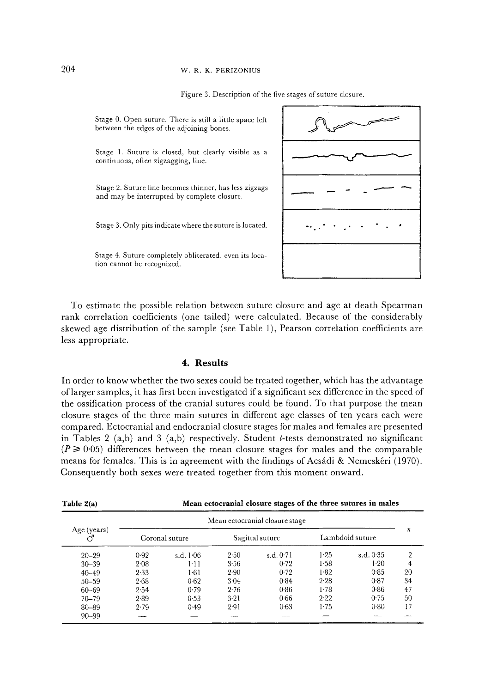## 204 w.R.K. PERIZONIUS

Figure 3. Description of the five stages of suture closure.



To estimate the possible relation between suture closure and age at death Spearman rank correlation coefficients (one tailed) were calculated. Because of the considerably skewed age distribution of the sample (see Table 1), Pearson correlation coefficients are less appropriate.

## **4. Results**

In order to know whether the two sexes could be treated together, which has the advantage of larger samples, it has first been investigated ifa significant sex difference in the speed of the ossification process of the cranial sutures could be found. To that purpose the mean closure stages of the three main sutures in different age classes of ten years each were compared. Ectocranial and endocranial closure stages for males and females are presented in Tables 2 (a,b) and 3 (a,b) respectively. Student *t*-tests demonstrated no significant  $(P \ge 0.05)$  differences between the mean closure stages for males and the comparable means for females. This is in agreement with the findings of Acsádi & Nemeskéri (1970). Consequently both sexes were treated together from this moment onward.

| Table $2(a)$ | Mean ectocranial closure stages of the three sutures in males |             |                 |             |                 |             |                |  |  |  |  |
|--------------|---------------------------------------------------------------|-------------|-----------------|-------------|-----------------|-------------|----------------|--|--|--|--|
|              | Mean ectocranial closure stage                                |             |                 |             |                 |             |                |  |  |  |  |
| Age (years)  | Coronal suture                                                |             | Sagittal suture |             | Lambdoid suture | n           |                |  |  |  |  |
| $20 - 29$    | 0.92                                                          | s.d. $1.06$ | 2.50            | s.d. $0.71$ | 1.25            | s.d. $0.35$ | $\overline{2}$ |  |  |  |  |
| $30 - 39$    | $2 - 08$                                                      | $1 - 11$    | 3.56            | 0.72        | 1.58            | 1.20        | 4              |  |  |  |  |
| $40 - 49$    | 2.33                                                          | 1.61        | 2.90            | 0.72        | 1.82            | 0.85        | 20             |  |  |  |  |
| $50 - 59$    | 2.68                                                          | 0.62        | $3-04$          | 0.84        | 2.28            | 0.87        | 34             |  |  |  |  |
| $60 - 69$    | 2.54                                                          | 0.79        | 2.76            | 0.86        | 1.78            | 0.86        | 47             |  |  |  |  |
| $70 - 79$    | 2.89                                                          | 0.53        | 3.21            | 0.66        | 9.22            | 0.75        | 50             |  |  |  |  |
| $80 - 89$    | 2.79                                                          | 0.49        | $2-91$          | $0-63$      | $1 - 7.5$       | 0.80        | 17             |  |  |  |  |
| $90 - 99$    |                                                               |             |                 |             |                 |             |                |  |  |  |  |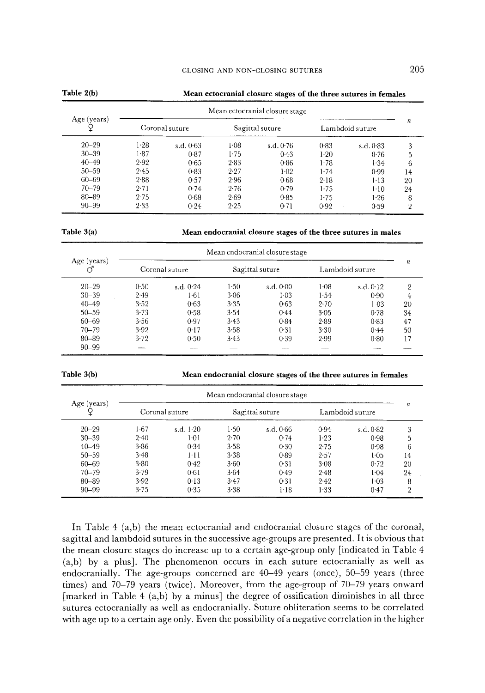| Table $2(b)$             | Mean ectocranial closure stages of the three sutures in females |             |                 |           |                 |                  |    |  |  |  |
|--------------------------|-----------------------------------------------------------------|-------------|-----------------|-----------|-----------------|------------------|----|--|--|--|
| Age (years)<br>$20 - 29$ | Mean ectocranial closure stage                                  |             |                 |           |                 |                  |    |  |  |  |
|                          | Coronal suture                                                  |             | Sagittal suture |           | Lambdoid suture | $\boldsymbol{n}$ |    |  |  |  |
|                          | $1-28$                                                          | s.d. $0.63$ | 1.08            | s.d. 0.76 | 0.83            | s.d.0.83         | 3  |  |  |  |
| $30 - 39$                | 1.87                                                            | 0.87        | 1.75            | 0.43      | $1-20$          | 0.76             | 5  |  |  |  |
| $40 - 49$                | 2.92                                                            | 0.65        | 2.83            | 0.86      | 1.78            | 1.34             | 6  |  |  |  |
| $50 - 59$                | 2.45                                                            | 0.83        | 2.27            | 1.02      | 1.74            | 0.99             | 14 |  |  |  |
| 60-69                    | 2.88                                                            | 0.57        | 2.96            | 0.68      | $2 - 18$        | $1-13$           | 20 |  |  |  |
| $70 - 79$                | 2.71                                                            | 0.74        | 2.76            | 0.79      | 1.75            | $1-10$           | 24 |  |  |  |
| $80 - 89$                | 2.75                                                            | 0.68        | 2.69            | $0-85$    | $1 - 75$        | 1.26             | 8  |  |  |  |
| $90 - 99$                | 2.33                                                            | 0.24        | 2.25            | 0.71      | 0.92            | 0.59             | 2  |  |  |  |

**Table 3(a)** Mean endocranial closure stages of the three sutures in males

| Age (years)<br>♂ | Mean endocranial closure stage |                |                 |           |                 |                  |                |  |  |
|------------------|--------------------------------|----------------|-----------------|-----------|-----------------|------------------|----------------|--|--|
|                  |                                | Coronal suture | Sagittal suture |           | Lambdoid suture | $\boldsymbol{n}$ |                |  |  |
| $20 - 29$        | 0.50                           | s.d. $0.24$    | $1-50$          | s.d. 0.00 | $1 - 08$        | s.d. 0.12        | $\overline{2}$ |  |  |
| $30 - 39$        | 2.49                           | 1.61           | 3.06            | 1.03      | 1.54            | 0.90             | 4              |  |  |
| $40 - 49$        | 3.52                           | $0 - 63$       | 3.35            | 0.63      | 2.70            | 103              | 20             |  |  |
| $50 - 59$        | 3.73                           | 0.58           | 3.54            | 0.44      | $3 - 0.5$       | 0.78             | 34             |  |  |
| $60 - 69$        | 3.56                           | 0.97           | 3.43            | 0.84      | 2.89            | 0.83             | 47             |  |  |
| $70 - 79$        | 3.92                           | 0.17           | 3.58            | 0.31      | 3.30            | 0.44             | 50             |  |  |
| 80-89            | 3.72                           | 0.50           | 3.43            | 0.39      | 2.99            | 0.80             | 17             |  |  |
| $90 - 99$        |                                |                |                 |           |                 |                  |                |  |  |

**Table 3(b) Mean endocranial closure stages of the three sutures in females** 

| Age (years) | Mean endocranial closure stage |                |                 |          |                 |                  |    |  |  |
|-------------|--------------------------------|----------------|-----------------|----------|-----------------|------------------|----|--|--|
|             |                                | Coronal suture | Sagittal suture |          | Lambdoid suture | $\boldsymbol{n}$ |    |  |  |
| $20 - 29$   | 1.67                           | s.d. $1.20$    | 1.50            | s.d.0.66 | 0.94            | s.d. 0.82        | 3  |  |  |
| $30 - 39$   | 2.40                           | 1.01           | 2.70            | 0.74     | 1.23            | 0.98             | 5  |  |  |
| $40 - 49$   | $3 - 86$                       | 0.34           | 3.58            | 0.30     | 2.75            | 0.98             | 6  |  |  |
| $50 - 59$   | 3.48                           | $1 - 11$       | 3.38            | 0.89     | 2.57            | $1 - 0.5$        | 14 |  |  |
| 60-69       | $3 - 80$                       | 0.42           | 3.60            | 0.31     | 3.08            | 0.72             | 20 |  |  |
| $70 - 79$   | 3.79                           | 0.61           | 3.64            | 0.49     | 2.48            | 1.04             | 24 |  |  |
| 80-89       | 3.92                           | 0.13           | 3.47            | 0.31     | 2.42            | $1 - 03$         | 8  |  |  |
| $90 - 99$   | 3.75                           | 0.35           | 3.38            | 1.18     | 1.33            | 0.47             | 2  |  |  |

In Table 4 (a,b) the mean ectocranial and endocranial closure stages of the coronal, sagittal and lambdoid sutures in the successive age-groups are presented. It is obvious that the mean closure stages do increase up to a certain age-group only [indicated in Table 4 (a,b) by a plus]. The phenomenon occurs in each suture ectocranially as well as endocranially. The age-groups concerned are 40-49 years (once), 50-59 years (three times) and 70-79 years (twice). Moreover, from the age-group of 70-79 years onward [marked in Table 4  $(a,b)$  by a minus] the degree of ossification diminishes in all three sutures ectocranially as well as endocranially. Suture obliteration seems to be correlated with age up to a certain age only. Even the possibility of a negative correlation in the higher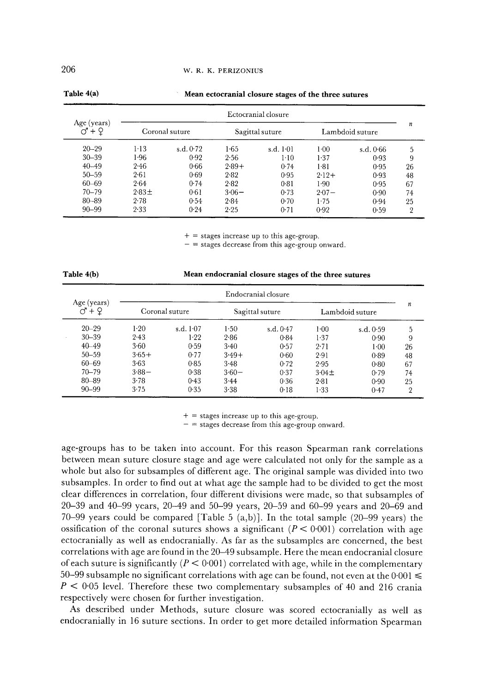#### W. R. K. PERIZONIUS

| Age (years)<br>$+9$ | Ectocranial closure |           |                 |             |                 |           |                |  |  |  |
|---------------------|---------------------|-----------|-----------------|-------------|-----------------|-----------|----------------|--|--|--|
|                     | Coronal suture      |           | Sagittal suture |             | Lambdoid suture | n         |                |  |  |  |
| $20 - 29$           | $1-13$              | s.d. 0.72 | $1-65$          | s.d. $1.01$ | 1.00            | s.d. 0.66 | 5              |  |  |  |
| $30 - 39$           | 1.96                | 0.92      | 2.56            | 1.10        | 1.37            | 0.93      | 9              |  |  |  |
| $40 - 49$           | 2.46                | 0.66      | $2.89+$         | 0.74        | 181             | 0.95      | 26             |  |  |  |
| $50 - 59$           | 2.61                | 0.69      | 2.82            | 0.95        | $2 - 12 +$      | 0.93      | 48             |  |  |  |
| $60 - 69$           | 2.64                | 0.74      | 2.82            | 0.81        | 1.90            | 0.95      | 67             |  |  |  |
| $70 - 79$           | $2.83\pm$           | 0.61      | $3.06 -$        | 0.73        | $2.07 -$        | 0.90      | 74             |  |  |  |
| $80 - 89$           | 2.78                | 0.54      | 2.84            | 0.70        | $1-75$          | 0.94      | 25             |  |  |  |
| $90 - 99$           | 2.33                | 0.24      | 2.25            | 0.71        | 0.92            | 0.59      | $\overline{2}$ |  |  |  |

#### **Mean ectocranial closure stages of the three sutures**

 $+$  = stages increase up to this age-group.

- = stages decrease from this age-group onward.

| Table 4(b) | Mean endocranial closure stages of the three sutures |
|------------|------------------------------------------------------|
|------------|------------------------------------------------------|

| Age (years)<br>$+9$ | Endocranial closure |             |                 |             |                 |           |    |  |  |
|---------------------|---------------------|-------------|-----------------|-------------|-----------------|-----------|----|--|--|
|                     | Coronal suture      |             | Sagittal suture |             | Lambdoid suture | n         |    |  |  |
| $20 - 29$           | $1-20$              | s.d. $1-07$ | 1.50            | s.d. $0.47$ | $1 - 00$        | s.d. 0-59 | 5  |  |  |
| $30 - 39$           | 2.43                | 1.22        | 2.86            | 0.84        | 1.37            | 0.90      | 9  |  |  |
| $40 - 49$           | 3.60                | 0.59        | $3-40$          | 0.57        | 2.71            | 1.00      | 26 |  |  |
| $50 - 59$           | $3.65+$             | 0.77        | $3.49+$         | 0.60        | 2.91            | 0.89      | 48 |  |  |
| 60-69               | 3.63                | 0.85        | $3-48$          | 0.72        | 2.95            | 0.80      | 67 |  |  |
| $70 - 79$           | $3.88 -$            | 0.38        | $3.60 -$        | 0.37        | $3.04 \pm$      | 0.79      | 74 |  |  |
| 80-89               | 3.78                | 0.43        | 3.44            | 0.36        | $2 - 81$        | 0.90      | 25 |  |  |
| $90 - 99$           | 3.75                | 0.35        | 3.38            | 0.18        | $1 - 33$        | 0.47      | 2  |  |  |

 $+$  = stages increase up to this age-group.

 $-$  = stages decrease from this age-group onward.

age-groups has to be taken into account. For this reason Spearman rank correlations between mean suture closure stage and age were calculated not only for the sample as a whole but also for subsamples of different age. The original sample was divided into two subsamples. In order to find out at what age the sample had to be divided to get the most clear differences in correlation, four different divisions were made, so that subsamples of 20-39 and 40-99 years, 20-49 and 50-99 years, 20-59 and 60-99 years and 20-69 and 70-99 years could be compared [Table 5 (a,b)]. In the total sample (20-99 years) the ossification of the coronal sutures shows a significant  $(P < 0.001)$  correlation with age ectocranially as well as endocranially. As far as the subsamples are concerned, the best correlations with age are found in the 20-49 subsample. Here the mean endocranial closure of each suture is significantly ( $P < 0.001$ ) correlated with age, while in the complementary 50-99 subsample no significant correlations with age can be found, not even at the  $0.001 \leq$  $P < 0.05$  level. Therefore these two complementary subsamples of 40 and 216 crania respectively were chosen for further investigation.

As described under Methods, suture closure was scored ectocranially as well as endocranially in 16 suture sections. In order to get more detailed information Spearman

**Table 4(a)**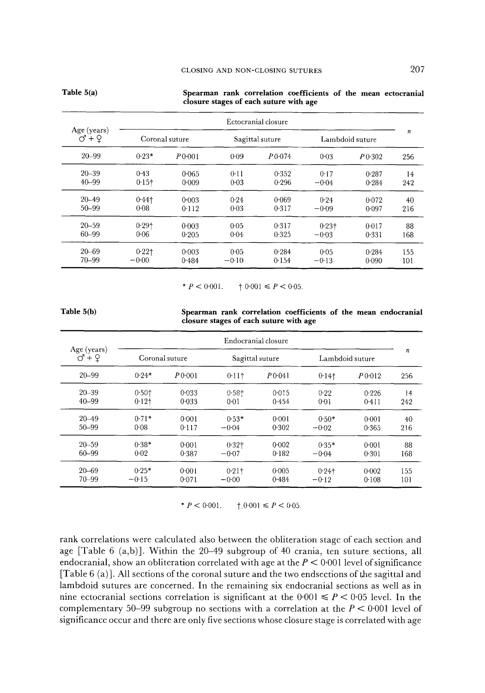|                                    | Ectocranial closure |                    |         |                 |                 |                  |     |  |
|------------------------------------|---------------------|--------------------|---------|-----------------|-----------------|------------------|-----|--|
| Age (years)<br>$\sigma$ + $\Omega$ |                     | Coronal suture     |         | Sagittal suture | Lambdoid suture | $\boldsymbol{n}$ |     |  |
| $20 - 99$                          | $0.23*$             | P <sub>0.001</sub> | 0.09    | $P$ 0.074       | $0 - 0.3$       | P(0.302)         | 256 |  |
| 20-39                              | 0.43                | 0.065              | 0.11    | 0.352           | 0.17            | 0.287            | 14  |  |
| $40 - 99$                          | $0.15 +$            | 0.009              | 0.03    | 0.296           | $-0.04$         | 0.284            | 242 |  |
| $20 - 49$                          | $0.44$ t            | 0:003              | 0.24    | 0.069           | 0.24            | 0.072            | 40  |  |
| $50 - 99$                          | 0.08                | 0.112              | 0.03    | 0.317           | $-0.09$         | 0.097            | 216 |  |
| $20 - 59$                          | $0.29$ <sup>+</sup> | 0.003              | 0.05    | 0.317           | 0.231           | 0.017            | 88  |  |
| 60-99                              | 0.06                | 0.205              | 0.04    | 0.325           | $-0.03$         | 0.331            | 168 |  |
| $20 - 69$                          | 0.221               | 0.003              | 0.05    | 0.284           | 0.05            | 0.284            | 155 |  |
| $70 - 99$                          | $-0.00$             | 0.484              | $-0.10$ | 0.154           | $-0.13$         | 0.090            | 101 |  |

### **Spearman rank correlation coefficients of the mean ectocranial closure stages of each suture with age**

\*  $P < 0.001$ ,  $\qquad 10.001 \le P < 0.05$ .

**Table 5(b)** 

**Table 5(a)** 

|  |                                        |  |  | Spearman rank correlation coefficients of the mean endocranial |
|--|----------------------------------------|--|--|----------------------------------------------------------------|
|  | closure stages of each suture with age |  |  |                                                                |

| Age (years) | Endocranial closure |                |                     |                 |                 |                  |     |  |  |
|-------------|---------------------|----------------|---------------------|-----------------|-----------------|------------------|-----|--|--|
|             |                     | Coronal suture |                     | Sagittal suture | Lambdoid suture | $\boldsymbol{n}$ |     |  |  |
| $20 - 99$   | $0.24*$             | P0001          | $0.11$ <sup>+</sup> | $P_0.041$       | $0.14$ t        | $P_{0.012}$      | 256 |  |  |
| $20 - 39$   | 0.501               | 0.033          | $0.58$ <sup>+</sup> | 0.015           | 0.22            | 0.226            | 14  |  |  |
| $40 - 99$   | 0.121               | $0 - 0.33$     | 0.01                | 0.454           | 0.01            | 0.411            | 242 |  |  |
| $20 - 49$   | $0.71*$             | 0.001          | $0.53*$             | 0.001           | $0.50*$         | 0.001            | 40  |  |  |
| $50 - 99$   | 0.08                | 0.117          | $-0.04$             | 0.302           | $-0.02$         | 0.365            | 216 |  |  |
| $20 - 59$   | $0.38*$             | 0.001          | $0.32$ <sup>+</sup> | 0.002           | $0.35*$         | 0.001            | 88  |  |  |
| 60-99       | 0.02                | 0.387          | $-0.07$             | 0.182           | $-0.04$         | 0.301            | 168 |  |  |
| $20 - 69$   | $0.25*$             | 0:001          | $0.21$ †            | 0.005           | $0.24$ †        | 0.002            | 155 |  |  |
| $70 - 99$   | $-0.15$             | 0.071          | $-0.00$             | 0.484           | $-0.12$         | 0.108            | 101 |  |  |

\*  $P < 0.001$ .  $\uparrow$  0.001  $\leq P < 0.05$ .

rank correlations were calculated also between the obliteration stage of each section and age [Table 6 (a,b)]. Within the 20-49 subgroup of 40 crania, ten suture sections, all endocranial, show an obliteration correlated with age at the  $P < 0.001$  level of significance  $[Table 6 (a)]$ . All sections of the coronal suture and the two endsections of the sagittal and lambdoid sutures are concerned. In the remaining six endocranial sections as well as in nine ectocranial sections correlation is significant at the  $0.001 \leq P < 0.05$  level. In the complementary 50-99 subgroup no sections with a correlation at the  $P < 0.001$  level of significance occur and there are only five sections whose closure stage is correlated with age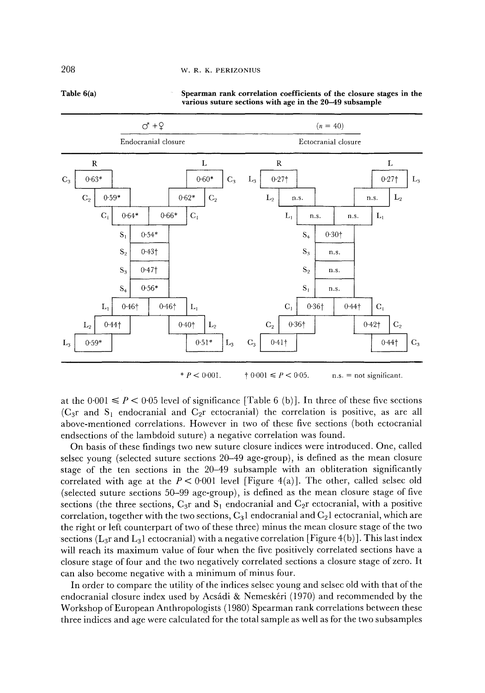#### W. R. K. PERIZONIUS



**Spearman rank correlation coefficients of the closure stages in the various suture sections with age in the 20-49 subsample** 

\*  $P < 0.001$ .  $\qquad 10.001 \le P < 0.05$ . n.s. = not significant.

at the  $0.001 \leq P \leq 0.05$  level of significance [Table 6 (b)]. In three of these five sections ( $C_{3}$ r and  $S_1$  endocranial and  $C_{2}$ r ectocranial) the correlation is positive, as are all above-mentioned correlations. However in two of these five sections (both ectocranial endsections of the lambdoid suture) a negative correlation was found.

On basis of these findings two new suture closure indices were introduced. One, called selsec young (selected suture sections 20-49 age-group), is defined as the mean closure stage of the ten sections in the 20-49 subsample with an obliteration significantly correlated with age at the  $P < 0.001$  level [Figure 4(a)]. The other, called selsec old (selected suture sections 50-99 age-group), is defined as the mean closure stage of five sections (the three sections,  $C_{3}r$  and  $S_1$  endocranial and  $C_{2}r$  ectocranial, with a positive correlation, together with the two sections,  $C_31$  endocranial and  $C_21$  ectocranial, which are the right or left counterpart of two of these three) minus the mean closure stage of the two sections ( $L_3r$  and  $L_3l$  ectocranial) with a negative correlation [Figure 4(b)]. This last index will reach its maximum value of four when the five positively correlated sections have a closure stage of four and the two negatively correlated sections a closure stage of zero. It can also become negative with a minimum of minus four.

In order to compare the utility of the indices selsec young and selsec old with that of the endocranial closure index used by Acsádi & Nemeskéri (1970) and recommended by the Workshop of European Anthropologists (1980) Spearman rank correlations between these three indices and age were calculated for the total sample as well as for the two subsamples

2O8

**Table 6(a)**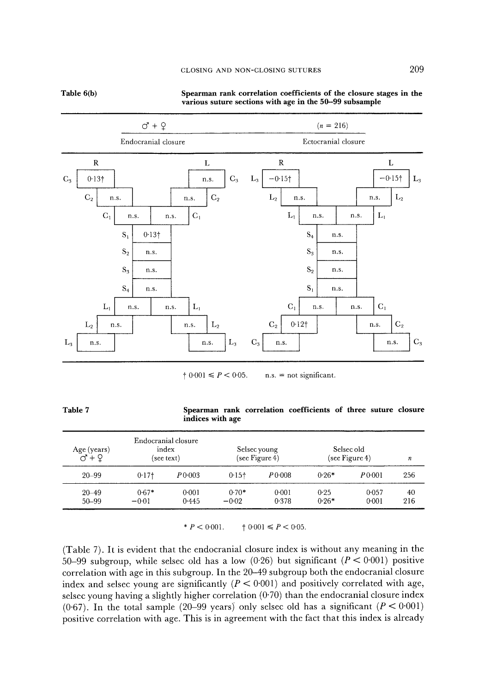### CLOSING AND NON-CLOSING SUTURES 209

**Table 6(b)** 



#### **Spearman rank correlation coefficients of the closure stages in the various suture sections with age in the 50-99 subsample**

 $\uparrow 0.001 \leq P < 0.05$ . n.s. = not significant.

| Table 7 |                  |  | Spearman rank correlation coefficients of three suture closure |  |  |
|---------|------------------|--|----------------------------------------------------------------|--|--|
|         | indices with age |  |                                                                |  |  |

| Age (years)<br>$\sigma$ + $\Omega$ |         | Endocranial closure<br>index<br>(see text) |         | Selsec young<br>$(\sec$ Figure 4) |         | Selsec old<br>$(\sec$ Figure 4) | n   |
|------------------------------------|---------|--------------------------------------------|---------|-----------------------------------|---------|---------------------------------|-----|
| $20 - 99$                          | $0.17+$ | P 0.003                                    | $0.15+$ | P 0.008                           | $0.26*$ | P0.001                          | 256 |
| $20 - 49$                          | $0.67*$ | 0.001                                      | $0.70*$ | $0 - 001$                         | 0.25    | 0.057                           | 40  |
| 50-99                              | $-0.01$ | 0.445                                      | $-0.02$ | 0.378                             | $0.26*$ | 0.001                           | 216 |

\*  $P < 0.001$ .  $\qquad 10.001 \le P < 0.05$ .

(Table 7). It is evident that the endocranial closure index is without any meaning in the 50-99 subgroup, while selsec old has a low (0.26) but significant ( $P < 0.001$ ) positive correlation with age in this subgroup. In the 20-49 subgroup both the endocranial closure index and selsec young are significantly  $(P < 0.001)$  and positively correlated with age, selsec young having a slightly higher correlation  $(0.70)$  than the endocranial closure index (0.67). In the total sample (20–99 years) only selsed old has a significant ( $P < 0.001$ ) positive correlation with age. This is in agreement with the fact that this index is already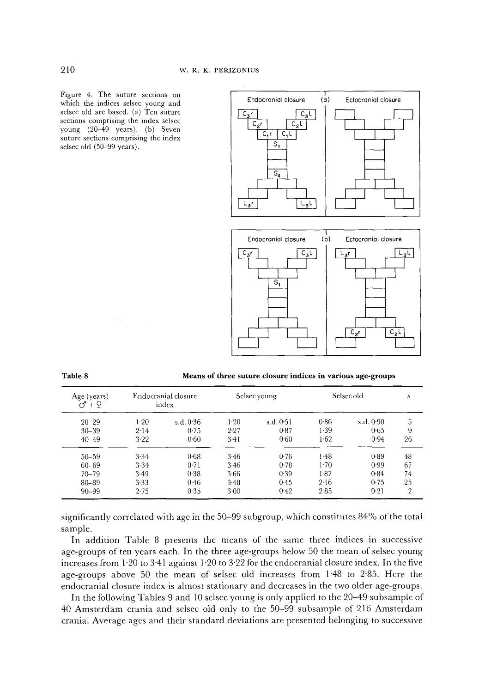Figure 4. The suture sections on which the indices selsec young and selsec old are based. (a) Ten suture sections comprising the index selsec young (20-49 years). (b) Seven suture sections comprising the index selsec old (50-99 years).



| Table 8 | Means of three suture closure indices in various age-groups |
|---------|-------------------------------------------------------------|
|         |                                                             |

| Age (years)<br>$+Q$<br>೧ |          | Endocranial closure<br>index |        | Selsec young |      | Selsec old | n              |
|--------------------------|----------|------------------------------|--------|--------------|------|------------|----------------|
| $20 - 29$                | $1-20$   | s.d. $0.36$                  | 1.20   | s.d. 0.51    | 0.86 | s.d. 0.90  | 5              |
| $30 - 39$                | 2.14     | 0.75                         | 2.27   | 0.87         | 1.39 | 0.65       | 9              |
| $40 - 49$                | 3.22     | 0.60                         | 3.41   | 0.60         | 1.62 | 0.94       | 26             |
| $50 - 59$                | 3.34     | 0.68                         | 3.46   | 0.76         | 1.48 | 0.89       | 48             |
| 60-69                    | $3 - 34$ | 0.71                         | 3.46   | 0.78         | 1.70 | 0.99       | 67             |
| $70 - 79$                | 3.49     | 0.38                         | 3.66   | 0.39         | 1.87 | 0.84       | 74             |
| 80-89                    | 3.33     | 0.46                         | 3.48   | 0.45         | 2.16 | 0.75       | 25             |
| $90 - 99$                | 2.75     | 0.35                         | $3-00$ | 0.42         | 2.85 | 0.21       | $\overline{2}$ |

significantly correlated with age in the 50-99 subgroup, which constitutes 84% of the total sample.

In addition Table 8 presents the means of the same three indices in successive age-groups of ten years each. In the three age-groups below 50 the mean of selsec young increases from  $1.20$  to  $3.41$  against  $1.20$  to  $3.22$  for the endocranial closure index. In the five age-groups above 50 the mean of selsec old increases from 1'48 to 2"85. Here the endocranial closure index is almost stationary and decreases in the two older age-groups.

In the following Tables 9 and 10 selsec young is only applied to the 20–49 subsample of 40 Amsterdam crania and selsec old only to the 50-99 subsample of 216 Amsterdam crania. Average agcs and their standard deviations are presented belonging to successive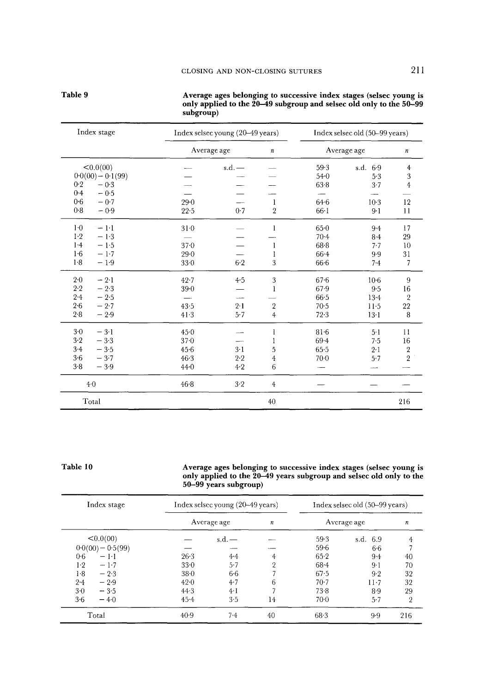|                     | $susp_{1}op_{1}$ |                                  |                  |          |                                |                |
|---------------------|------------------|----------------------------------|------------------|----------|--------------------------------|----------------|
| Index stage         |                  | Index selsec young (20-49 years) |                  |          | Index selsec old (50-99 years) |                |
|                     |                  | Average age                      | $\boldsymbol{n}$ |          | Average age                    |                |
| <0.0(00)            |                  | $s.d.$ $-$                       |                  | 59.3     | s.d. 6.9                       | $\overline{4}$ |
| $0.0(00) - 0.1(99)$ |                  |                                  |                  | $54 - 0$ | 5.3                            | 3              |
| 0.2<br>$-0.3$       |                  |                                  |                  | 63.8     | $3 - 7$                        | $\overline{4}$ |
| 0.4<br>$-0.5$       |                  |                                  |                  |          |                                |                |
| 0.6<br>$-0.7$       | 29.0             |                                  | 1                | $64 - 6$ | $10-3$                         | 12             |
| 0.8<br>$-0.9$       | $22 - 5$         | 0.7                              | $\overline{2}$   | $66-1$   | $9 - 1$                        | 11             |
| $1-0$<br>$-1-1$     | 310              |                                  | 1                | $65 - 0$ | $9 - 4$                        | 17             |
| $1-2$<br>$-1.3$     |                  |                                  |                  | $70 - 4$ | $8-4$                          | 29             |
| 1.4<br>$-1.5$       | 370              |                                  | 1                | $68 - 8$ | 7.7                            | 10             |
| 1.6<br>$-1.7$       | 29.0             |                                  |                  | $66 - 4$ | 9.9                            | 31             |
| $1-8$<br>$-1.9$     | $33-0$           | 6.2                              | 3                | $66-6$   | 7.4                            | $\overline{7}$ |
| $2 - 0$<br>$-2.1$   | $42 - 7$         | 4.5                              | 3                | 67.6     | $10-6$                         | 9              |
| 2.2<br>$-2.3$       | $39 - 0$         |                                  | 1                | $67-9$   | 9.5                            | 16             |
| $2 - 4$<br>$-2.5$   |                  | $\overline{\phantom{a}}$         |                  | 66.5     | $13 - 4$                       | $\overline{2}$ |
| 2.6<br>$-2.7$       | 43.5             | $2-1$                            | $\sqrt{2}$       | $70-5$   | $11-5$                         | 22             |
| $2 - 8$<br>$-2.9$   | 41.3             | 5.7                              | $\overline{4}$   | 72.3     | $13-1$                         | 8              |
| $3-0$<br>$-3.1$     | 45.0             |                                  | 1                | $81-6$   | 5 <sub>1</sub>                 | $_{11}$        |
| 3.2<br>$-3.3$       | $37 - 0$         |                                  |                  | 694      | 7.5                            | 16             |
| $3-4$<br>$-3.5$     | 456              | $3-1$                            | 5                | 65.5     | 2.1                            | $\sqrt{2}$     |
| 3.6<br>$-3.7$       | $46-3$           | 2.2                              | 4                | $70-0$   | 5.7                            | $\,2$          |
| 3.8<br>$-3.9$       | 44.0             | $4-2$                            | 6                |          |                                |                |
| 4.0                 | $46 - 8$         | 3.2                              | $\overline{4}$   |          |                                |                |
| Total               |                  |                                  | 40               |          |                                | 216            |

Average ages belonging to successive index stages (selsec young is only applied to the 20–49 subgroup and selsec old only to the 50–99 subgroup)

#### Table 10

Table 9

Average ages belonging to successive index stages (selsec young is<br>only applied to the 20–49 years subgroup and selsec old only to the<br>50–99 years subgroup)

| Index stage         |          | Index selsec young (20–49 years) |                  |          | Index selsec old (50-99 years) |                  |
|---------------------|----------|----------------------------------|------------------|----------|--------------------------------|------------------|
|                     |          | Average age                      | $\boldsymbol{n}$ |          | Average age                    | $\boldsymbol{n}$ |
| <0.0(00)            |          | $s.d.$ —                         |                  | $59-3$   | s.d. 6.9                       | 4                |
| $0.0(00) - 0.5(99)$ |          |                                  |                  | $59-6$   | 66                             |                  |
| 0.6<br>$-1-1$       | 26.3     | 4.4                              | 4                | $65-2$   | $9-4$                          | 40               |
| $1-2$<br>$-1.7$     | 330      | $5 - 7$                          | $\overline{2}$   | $68 - 4$ | $9-1$                          | 70               |
| 1.8<br>$-2.3$       | $38-0$   | $6-6$                            |                  | 67.5     | 9.2                            | 32               |
| 2.4<br>$-2.9$       | $42 - 0$ | 4.7                              | 6                | $70-7$   | $11 - 7$                       | 32               |
| 3·0<br>$-3.5$       | 44.3     | 4·1                              |                  | 73.8     | $8-9$                          | 29               |
| $3-6$<br>$-4.0$     | $45 - 4$ | 3.5                              | 14               | 70.0     | 5.7                            | $\overline{2}$   |
| Total               | $40-9$   | 7.4                              | 40               | 68.3     | 9.9                            | 216              |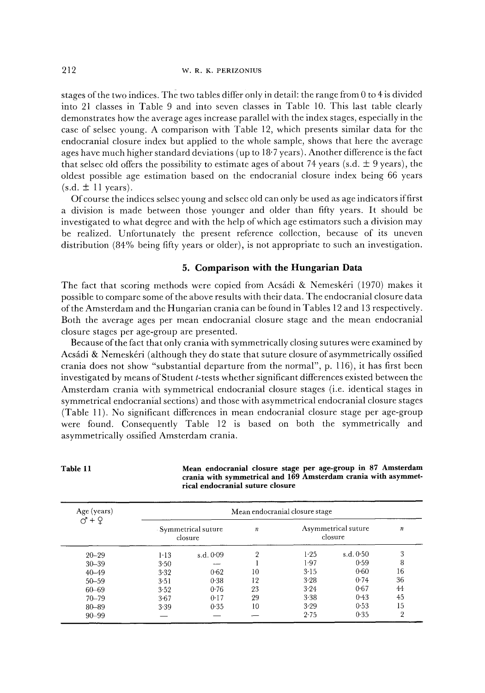stages of the two indices. The two tables differ only in detail: the range from 0 to 4 is divided into 21 classes in Table 9 and into seven classes in Table 10. This last table clearly demonstrates how the average ages increase parallel with the index stages, especially in the case of selsec young. A comparison with Table 12, which presents similar data for the endocranial closure index but applied to the whole sample, shows that here the average ages have much higher standard deviations (up to 18'7 years). Another difference is the fact that selsec old offers the possibility to estimate ages of about 74 years (s.d.  $\pm$  9 years), the oldest possible age estimation based on the endocranial closure index being 66 years  $(s.d. \pm 11 \text{ years}).$ 

Of course the indices selsec young and selsec old can only be used as age indicators if first a division is made between those younger and older than fifty years. It should be investigated to what degree and with the help of which age estimators such a division may be realized. Unfortunately the present reference collection, because of its uneven distribution (84% being fifty years or older), is not appropriate to such an investigation.

## **5. Comparison with the Hungarian Data**

The fact that scoring methods were copied from Acsádi & Nemeskéri (1970) makes it possible to compare some of the above results with their data. The endocranial closure data of the Amsterdam and the Hungarian crania can be found in Tables 12 and 13 respectively. Both the average ages per mean endocranial closure stage and the mean endocranial closure stages per age-group are presented.

Because of the fact that only crania with symmetrically closing sutures were examined by Acsádi & Nemeskéri (although they do state that suture closure of asymmetrically ossified crania does not show "substantial departure from the normal", p. 116), it has first been investigated by means of Student t-tests whether significant differences existed between the Amsterdam crania with symmetrical endocranial closure stages (i.e. identical stages in symmetrical endocranial sections) and those with asymmetrical endocranial closure stages (Table 11). No significant diffcrences in mean endocranial closure stage per age-group were found. Consequently Table 12 is based on both the symmetrically and asymmetrically ossified Amsterdam crania.

| Age (years)<br>$\check{O}$ + $\varphi$ |          |                               |                  | Mean endocranial closure stage |                                |                  |
|----------------------------------------|----------|-------------------------------|------------------|--------------------------------|--------------------------------|------------------|
|                                        |          | Symmetrical suture<br>closure | $\boldsymbol{n}$ |                                | Asymmetrical suture<br>closure | $\boldsymbol{n}$ |
| $20 - 29$                              | $1 - 13$ | s.d. 0.09                     | $\overline{2}$   | $1-25$                         | s.d. 0.50                      | 3                |
| $30 - 39$                              | $3 - 50$ |                               |                  | 1.97                           | 0.59                           | 8                |
| $40 - 49$                              | 3.32     | 0.62                          | 10               | $3 - 15$                       | 0.60                           | 16               |
| $50 - 59$                              | 3.51     | 0.38                          | 12               | 3.28                           | 0.74                           | 36               |
| $60 - 69$                              | 3.52     | 0.76                          | 23               | $3 - 24$                       | 0.67                           | 44               |
| $70 - 79$                              | 3.67     | 0.17                          | 29               | 3.38                           | 0.43                           | 45               |
| 80-89                                  | 3.39     | 0.35                          | 10               | 3.29                           | 0.53                           | 15               |
| $90 - 99$                              |          |                               |                  | 2.75                           | 0.35                           | $\overline{2}$   |

**Table 11 Mean endocranial closure stage per age-group in 87 Amsterdam crania with symmetrical and 169 Amsterdam crania with asymmetrical endocranial suture closure**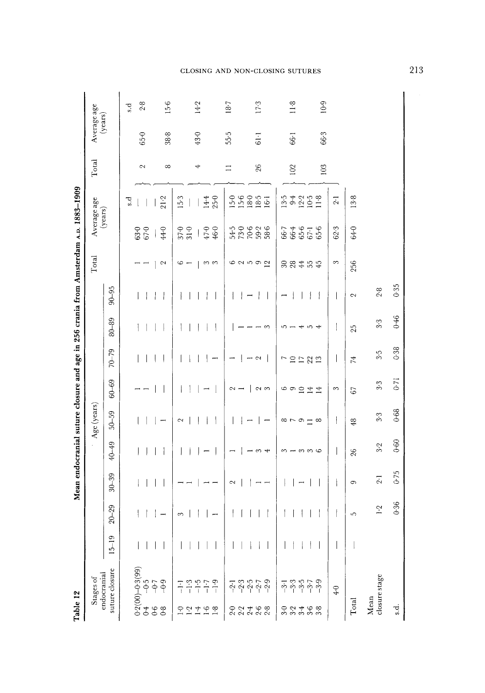|                                                                                     |                          |                | $15-6$<br>2.8<br>s.d                                                             | 14.2                                             | 187                                            | $17-3$                   | $11-8$                                                       | 10.9                       |                 |                       |      |
|-------------------------------------------------------------------------------------|--------------------------|----------------|----------------------------------------------------------------------------------|--------------------------------------------------|------------------------------------------------|--------------------------|--------------------------------------------------------------|----------------------------|-----------------|-----------------------|------|
|                                                                                     | Average age<br>(years)   |                | 38.8<br>$65-0$                                                                   | 43.0                                             | 55.5                                           | 61.1                     | $66-1$                                                       | 66.3                       |                 |                       |      |
|                                                                                     | Total                    |                | $\infty$<br>2                                                                    | 4                                                | $\Box$                                         | 26                       | 102                                                          | 103                        |                 |                       |      |
|                                                                                     |                          |                | 21.2<br>5.d                                                                      | 15.3<br>$25 - 0$<br>14.4                         | 15.6<br>$5-0$<br>$18-0$                        | 18.5<br>$16-1$           | $9.25$<br>$9.25$<br>13.5                                     | $11-8$<br>$\overline{2}$ : | 13.8            |                       |      |
|                                                                                     | Average age<br>(years)   |                | $44-0$<br>$63.0$<br>$67.0$                                                       | 46.0<br>$\frac{57}{31}$ .0<br>$47 - 0$<br>$\mid$ | 54-5<br>73-0<br>70-6                           | $59-2$<br>58.6           | $66.4$<br>$65.6$<br>$67.1$<br>66-7                           | 62.3<br>65-6               | 64-0            |                       |      |
|                                                                                     | Total                    |                | $\sim$                                                                           | 6<br>က က<br>$\overline{\phantom{0}}$             | 69992                                          |                          | 384<br>554                                                   | 3                          | 256             |                       |      |
|                                                                                     |                          | $90 - 95$      | ł<br>$\overline{1}$                                                              |                                                  |                                                |                          |                                                              | I                          | $\sim$          | 2.8                   | 0.35 |
|                                                                                     |                          | $80 - 89$      | ł                                                                                | $\overline{\phantom{a}}$                         |                                                | ొ                        | ഗ<br>ະຕ                                                      | 1<br>4                     | 25              | 3.3                   | 0.46 |
|                                                                                     |                          | $70 - 79$      | I<br>$\mathsf{l}$                                                                |                                                  | $\rightarrow \infty$                           |                          | 12222<br>$\overline{r}$                                      | I                          | $\overline{74}$ | 3.5                   | 0.38 |
|                                                                                     |                          | $60 - 69$      |                                                                                  |                                                  | $\mathbf{I}$<br>$\sim$ $-$                     | $\sim$ $\infty$          | $\circ \circ \circ \pm \pm \circ$                            | $\infty$                   | 67              | 3.3                   | 0.71 |
| Mean endocranial suture closure and age in 256 crania from Amsterdam A.D. 1883-1909 | Age (years)              | 50-59          | Ţ                                                                                | I<br>2                                           |                                                | Ē                        | $\infty \cap \infty$ $\equiv$<br>$\infty$                    | $\overline{\phantom{a}}$   | 48              | 3.3                   | 0.68 |
|                                                                                     |                          | 40-49          |                                                                                  |                                                  |                                                | S<br>ᆉ                   | တကပ<br>∞                                                     | $\overline{\phantom{a}}$   | 26              | $3-2$                 | 0.60 |
|                                                                                     |                          | $30 - 39$      |                                                                                  |                                                  | Z                                              | $\overline{\phantom{a}}$ | $\overline{\phantom{0}}$                                     | ł                          | Ó               | 2.1                   | 0.75 |
|                                                                                     |                          | $20 - 29$      |                                                                                  | 3                                                |                                                |                          |                                                              |                            | 5               | $\ddot{ }$ :1         | 0.36 |
|                                                                                     |                          | $5 - 19$       |                                                                                  |                                                  |                                                |                          |                                                              |                            |                 |                       |      |
| Table 12                                                                            | endocranial<br>Stages of | suture closure | $0.2(00)-0.3(99)$<br>$0.4$ -0.5<br>$0.5$<br>$0.5$<br>$0.5$<br>$0.3(99)$<br>$0.5$ | $-1.5$<br>$-1.7$<br>$-1.9$<br>Ę<br>$-21190$      | $3.577$<br>$9.979$<br>$-2.1$<br>つ2468<br>22222 |                          | $3.57$<br>$9.57$<br>$\overline{3}$<br>り 2 4 6 8<br>3 2 4 8 8 | $-3.9$<br>$\frac{1}{4}$    | Total           | closure stage<br>Mean | s.d  |

### CLOSING AND NON-CLOSING SUTURES

213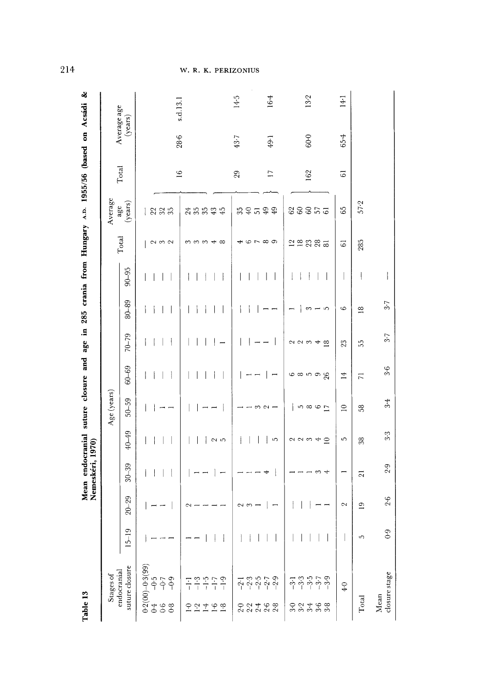| Table 13                                                                                                      |           |                 | Nemeskéri, 1970) |                         |             |                       |                                 |                    |           |                              | Mean endocranial suture closure and age in 285 crania from Hungary A.D. 1955/56 (based on Acsádi & |                 |          |                        |
|---------------------------------------------------------------------------------------------------------------|-----------|-----------------|------------------|-------------------------|-------------|-----------------------|---------------------------------|--------------------|-----------|------------------------------|----------------------------------------------------------------------------------------------------|-----------------|----------|------------------------|
| Stages of                                                                                                     |           |                 |                  |                         | Age (years) |                       |                                 |                    |           |                              | Average                                                                                            |                 |          |                        |
| suture closure<br>endocranial                                                                                 | $15 - 19$ | $20 - 29$       | $30 - 39$        | 40-49                   | $50 - 59$   | $60 - 69$             | $70 - 79$                       | $80 - 89$          | $90 - 95$ | Total                        | (years)<br>age                                                                                     | Total           |          | Average age<br>(years) |
| $0.2(00)-0.3(99)$<br>$-9.5$<br>$-0.9$<br>688                                                                  |           |                 |                  |                         |             | 1                     | i                               |                    |           | $\sim$ $\sim$ $\sim$         | 2235                                                                                               |                 |          |                        |
| $-7.7777$<br>2229                                                                                             |           | 2               |                  | $\sim$ 10               |             |                       |                                 |                    |           | mmm <del>d</del> 00          | 355<br>$43\,$<br>45                                                                                | $\approx$       | 28.6     | s.d.13.1               |
|                                                                                                               |           | Z<br>S          |                  |                         |             |                       |                                 |                    |           | ↤                            | ສ ຊ ສ                                                                                              | 29              | 43.7     | 14.5                   |
| $\frac{1}{7}$ $\frac{3}{7}$ $\frac{5}{7}$ $\frac{5}{7}$ $\frac{5}{7}$ $\frac{9}{7}$<br>O O 4 6 8<br>ひ ひ ひ ひ ひ |           |                 |                  | iO,                     | S<br>$\sim$ |                       |                                 |                    |           | $\varphi \sim \varpi \varpi$ | 99                                                                                                 | $\overline{17}$ | $49 - 1$ | 164                    |
| ှာ ကို ကို ကို ကို<br>ကို ကို ကို ကို ကို<br>$3-0$                                                            |           |                 | 4<br>ణ           | $\supseteq$<br>223<br>4 | 1000R       | <u>ဖေ ထ ၊ က</u><br>26 | $\sim \infty$<br>$\approx$<br>4 | $\sim$<br>S        |           | <b>22385</b>                 | 88855                                                                                              | 162             | $60-0$   | 13-2                   |
| $\ddot{q}$                                                                                                    |           | 2               |                  | 5                       | $\supseteq$ | $\overline{1}$        | 23                              | $\circ$            |           | $\overline{6}$               | 65                                                                                                 | $\overline{6}$  | 65.4     | $14-1$                 |
| Total                                                                                                         | 5         | $\overline{19}$ | $\overline{21}$  | 38                      | 58          | $\overline{z}$        | 55                              | $\frac{\infty}{2}$ | ļ         | 285                          | 57.2                                                                                               |                 |          |                        |
| closure stage<br>Mean                                                                                         | 0.9       | $2-6$           | 2.9              | 3.3                     | $3-4$       | $3-6$                 | 3.7                             | 3.7                |           |                              |                                                                                                    |                 |          |                        |

W. R. K. PERIZONIUS

214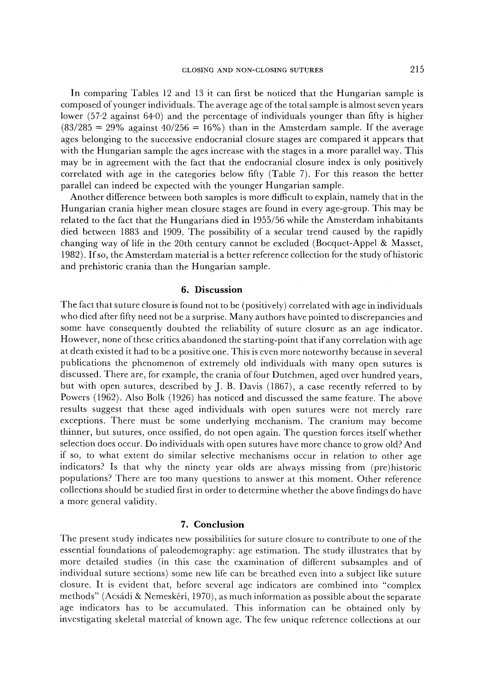In comparing Tables 12 and 13 it can first be noticed that the Hungarian sample is composed of younger individuals. The average age of the total sample is almost seven years lower (57-2 against 64.0) and the percentage of individuals younger than fifty is higher  $(83/285 = 29\%$  against  $40/256 = 16\%)$  than in the Amsterdam sample. If the average ages belonging to the successive endocranial closure stages are compared it appears that with the Hungarian sample the ages increase with the stages in a more parallel way. This may be in agreement with the fact that the endocranial closure index is only positively correlated with age in the categories below fifty (Table 7). For this reason the better parallel can indeed be expected with the younger Hungarian sample.

Another difference between both samples is more difficult to explain, namely that in the Hungarian crania higher mean closure stages are found in every age-group. This may be related to the fact that the Hungarians died in 1955/56 while the Amsterdam inhabitants died between 1883 and 1909. The possibility of a secular trend caused by the rapidly changing way of life in the 20th century cannot be excluded (Bocquet-Appel & Masset, 1982). If so, the Amsterdam material is a better reference collection for the study of historic and prehistoric crania than the Hungarian sample.

### **6. Discussion**

The fact that suture closure is found not to be (positively) correlated with age in individuals who died after fifty need not be a surprise. Many authors have pointed to discrepancies and some have consequently doubted the reliability of suture closure as an age indicator. However, none of these critics abandoned the starting-point that if any correlation with age at death existed it had to be a positive one. This is even more noteworthy because in several publications the phenomenon of extremely old individuals with many open sutures is discussed. There are, for example, the crania of four Dutchmen, aged over hundred years, but with open sutures, described by J. B. Davis (1867), a case recently referred to by Powers (1962). Also Bolk (1926) has noticed and discussed the same feature. The above results suggest that these aged individuals with open sutures were not merely rare exceptions. There must be some underlying mechanism. The cranium may become thinner, but sutures, once ossified, do not open again. The question forces itself whether selection does occur. Do individuals with open sutures have more chance to grow old? And if so, to what extent do similar selective mechanisms occur in relation to other age indicators? Is that why the ninety year olds are always missing from (pre)historic populations? There are too many questions to answer at this moment. Other reference collections should be studied first in order to determine whether the above findings do have a more general validity.

## **7. Conclusion**

The present study indicates new possibilities for suture closure to contribute to one of the essential foundations of paleodemography: age estimation. The study illustrates that by more detailed studies (in this case the examination of different subsamples and of individual suture sections) some new life can be breathed even into a subject like suture closure. It is evident that, before several age indicators are combined into "complex methods" (Acsádi & Nemeskéri, 1970), as much information as possible about the separate age indicators has to be accumulated. This information can be obtained only by investigating skeletal material of known age. The few unique reference collections at our